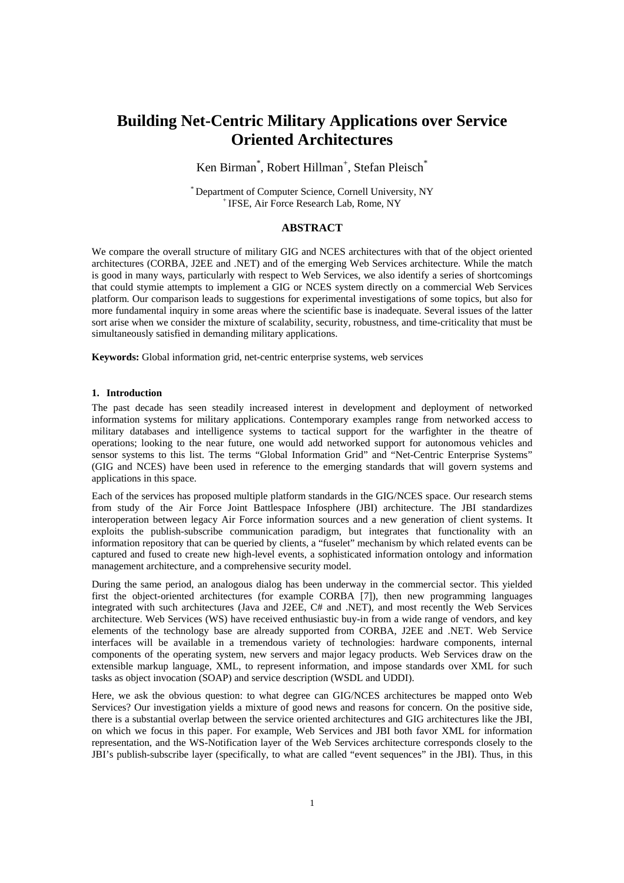# **Building Net-Centric Military Applications over Service Oriented Architectures**

# Ken Birman<sup>\*</sup>, Robert Hillman<sup>+</sup>, Stefan Pleisch<sup>\*</sup>

\* Department of Computer Science, Cornell University, NY + IFSE, Air Force Research Lab, Rome, NY

# **ABSTRACT**

We compare the overall structure of military GIG and NCES architectures with that of the object oriented architectures (CORBA, J2EE and .NET) and of the emerging Web Services architecture. While the match is good in many ways, particularly with respect to Web Services, we also identify a series of shortcomings that could stymie attempts to implement a GIG or NCES system directly on a commercial Web Services platform. Our comparison leads to suggestions for experimental investigations of some topics, but also for more fundamental inquiry in some areas where the scientific base is inadequate. Several issues of the latter sort arise when we consider the mixture of scalability, security, robustness, and time-criticality that must be simultaneously satisfied in demanding military applications.

**Keywords:** Global information grid, net-centric enterprise systems, web services

### **1. Introduction**

The past decade has seen steadily increased interest in development and deployment of networked information systems for military applications. Contemporary examples range from networked access to military databases and intelligence systems to tactical support for the warfighter in the theatre of operations; looking to the near future, one would add networked support for autonomous vehicles and sensor systems to this list. The terms "Global Information Grid" and "Net-Centric Enterprise Systems" (GIG and NCES) have been used in reference to the emerging standards that will govern systems and applications in this space.

Each of the services has proposed multiple platform standards in the GIG/NCES space. Our research stems from study of the Air Force Joint Battlespace Infosphere (JBI) architecture. The JBI standardizes interoperation between legacy Air Force information sources and a new generation of client systems. It exploits the publish-subscribe communication paradigm, but integrates that functionality with an information repository that can be queried by clients, a "fuselet" mechanism by which related events can be captured and fused to create new high-level events, a sophisticated information ontology and information management architecture, and a comprehensive security model.

During the same period, an analogous dialog has been underway in the commercial sector. This yielded first the object-oriented architectures (for example CORBA [7]), then new programming languages integrated with such architectures (Java and J2EE, C# and .NET), and most recently the Web Services architecture. Web Services (WS) have received enthusiastic buy-in from a wide range of vendors, and key elements of the technology base are already supported from CORBA, J2EE and .NET. Web Service interfaces will be available in a tremendous variety of technologies: hardware components, internal components of the operating system, new servers and major legacy products. Web Services draw on the extensible markup language, XML, to represent information, and impose standards over XML for such tasks as object invocation (SOAP) and service description (WSDL and UDDI).

Here, we ask the obvious question: to what degree can GIG/NCES architectures be mapped onto Web Services? Our investigation yields a mixture of good news and reasons for concern. On the positive side, there is a substantial overlap between the service oriented architectures and GIG architectures like the JBI, on which we focus in this paper. For example, Web Services and JBI both favor XML for information representation, and the WS-Notification layer of the Web Services architecture corresponds closely to the JBI's publish-subscribe layer (specifically, to what are called "event sequences" in the JBI). Thus, in this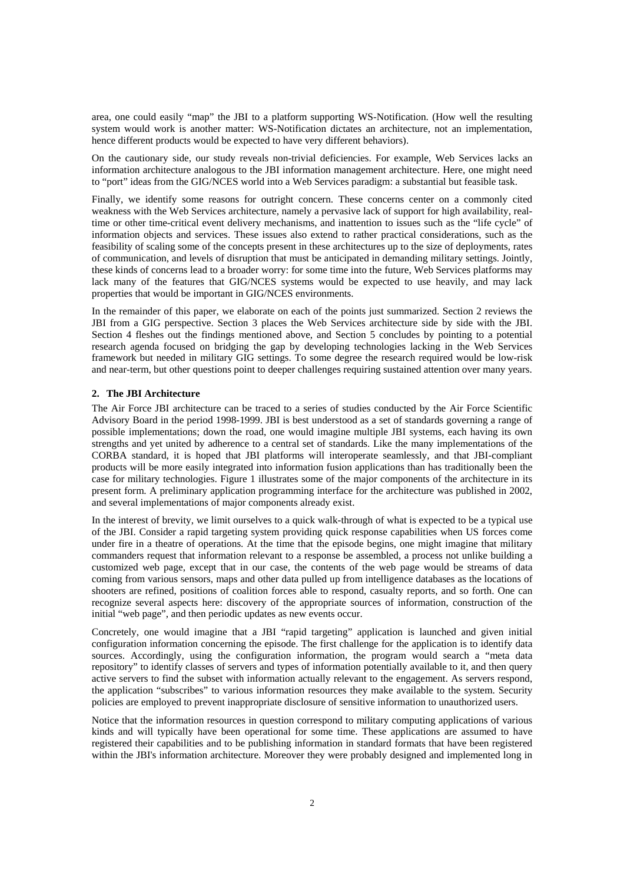area, one could easily "map" the JBI to a platform supporting WS-Notification. (How well the resulting system would work is another matter: WS-Notification dictates an architecture, not an implementation, hence different products would be expected to have very different behaviors).

On the cautionary side, our study reveals non-trivial deficiencies. For example, Web Services lacks an information architecture analogous to the JBI information management architecture. Here, one might need to "port" ideas from the GIG/NCES world into a Web Services paradigm: a substantial but feasible task.

Finally, we identify some reasons for outright concern. These concerns center on a commonly cited weakness with the Web Services architecture, namely a pervasive lack of support for high availability, realtime or other time-critical event delivery mechanisms, and inattention to issues such as the "life cycle" of information objects and services. These issues also extend to rather practical considerations, such as the feasibility of scaling some of the concepts present in these architectures up to the size of deployments, rates of communication, and levels of disruption that must be anticipated in demanding military settings. Jointly, these kinds of concerns lead to a broader worry: for some time into the future, Web Services platforms may lack many of the features that GIG/NCES systems would be expected to use heavily, and may lack properties that would be important in GIG/NCES environments.

In the remainder of this paper, we elaborate on each of the points just summarized. Section 2 reviews the JBI from a GIG perspective. Section 3 places the Web Services architecture side by side with the JBI. Section 4 fleshes out the findings mentioned above, and Section 5 concludes by pointing to a potential research agenda focused on bridging the gap by developing technologies lacking in the Web Services framework but needed in military GIG settings. To some degree the research required would be low-risk and near-term, but other questions point to deeper challenges requiring sustained attention over many years.

#### **2. The JBI Architecture**

The Air Force JBI architecture can be traced to a series of studies conducted by the Air Force Scientific Advisory Board in the period 1998-1999. JBI is best understood as a set of standards governing a range of possible implementations; down the road, one would imagine multiple JBI systems, each having its own strengths and yet united by adherence to a central set of standards. Like the many implementations of the CORBA standard, it is hoped that JBI platforms will interoperate seamlessly, and that JBI-compliant products will be more easily integrated into information fusion applications than has traditionally been the case for military technologies. Figure 1 illustrates some of the major components of the architecture in its present form. A preliminary application programming interface for the architecture was published in 2002, and several implementations of major components already exist.

In the interest of brevity, we limit ourselves to a quick walk-through of what is expected to be a typical use of the JBI. Consider a rapid targeting system providing quick response capabilities when US forces come under fire in a theatre of operations. At the time that the episode begins, one might imagine that military commanders request that information relevant to a response be assembled, a process not unlike building a customized web page, except that in our case, the contents of the web page would be streams of data coming from various sensors, maps and other data pulled up from intelligence databases as the locations of shooters are refined, positions of coalition forces able to respond, casualty reports, and so forth. One can recognize several aspects here: discovery of the appropriate sources of information, construction of the initial "web page", and then periodic updates as new events occur.

Concretely, one would imagine that a JBI "rapid targeting" application is launched and given initial configuration information concerning the episode. The first challenge for the application is to identify data sources. Accordingly, using the configuration information, the program would search a "meta data repository" to identify classes of servers and types of information potentially available to it, and then query active servers to find the subset with information actually relevant to the engagement. As servers respond, the application "subscribes" to various information resources they make available to the system. Security policies are employed to prevent inappropriate disclosure of sensitive information to unauthorized users.

Notice that the information resources in question correspond to military computing applications of various kinds and will typically have been operational for some time. These applications are assumed to have registered their capabilities and to be publishing information in standard formats that have been registered within the JBI's information architecture. Moreover they were probably designed and implemented long in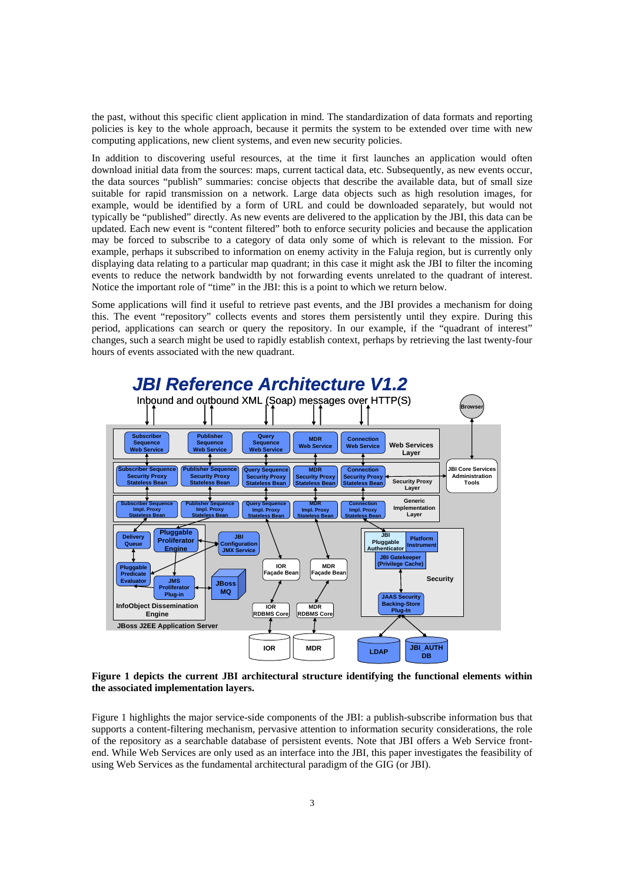the past, without this specific client application in mind. The standardization of data formats and reporting policies is key to the whole approach, because it permits the system to be extended over time with new computing applications, new client systems, and even new security policies.

In addition to discovering useful resources, at the time it first launches an application would often download initial data from the sources: maps, current tactical data, etc. Subsequently, as new events occur, the data sources "publish" summaries: concise objects that describe the available data, but of small size suitable for rapid transmission on a network. Large data objects such as high resolution images, for example, would be identified by a form of URL and could be downloaded separately, but would not typically be "published" directly. As new events are delivered to the application by the JBI, this data can be updated. Each new event is "content filtered" both to enforce security policies and because the application may be forced to subscribe to a category of data only some of which is relevant to the mission. For example, perhaps it subscribed to information on enemy activity in the Faluja region, but is currently only displaying data relating to a particular map quadrant; in this case it might ask the JBI to filter the incoming events to reduce the network bandwidth by not forwarding events unrelated to the quadrant of interest. Notice the important role of "time" in the JBI: this is a point to which we return below.

Some applications will find it useful to retrieve past events, and the JBI provides a mechanism for doing this. The event "repository" collects events and stores them persistently until they expire. During this period, applications can search or query the repository. In our example, if the "quadrant of interest" changes, such a search might be used to rapidly establish context, perhaps by retrieving the last twenty-four hours of events associated with the new quadrant.



**Figure 1 depicts the current JBI architectural structure identifying the functional elements within the associated implementation layers.** 

Figure 1 highlights the major service-side components of the JBI: a publish-subscribe information bus that supports a content-filtering mechanism, pervasive attention to information security considerations, the role of the repository as a searchable database of persistent events. Note that JBI offers a Web Service frontend. While Web Services are only used as an interface into the JBI, this paper investigates the feasibility of using Web Services as the fundamental architectural paradigm of the GIG (or JBI).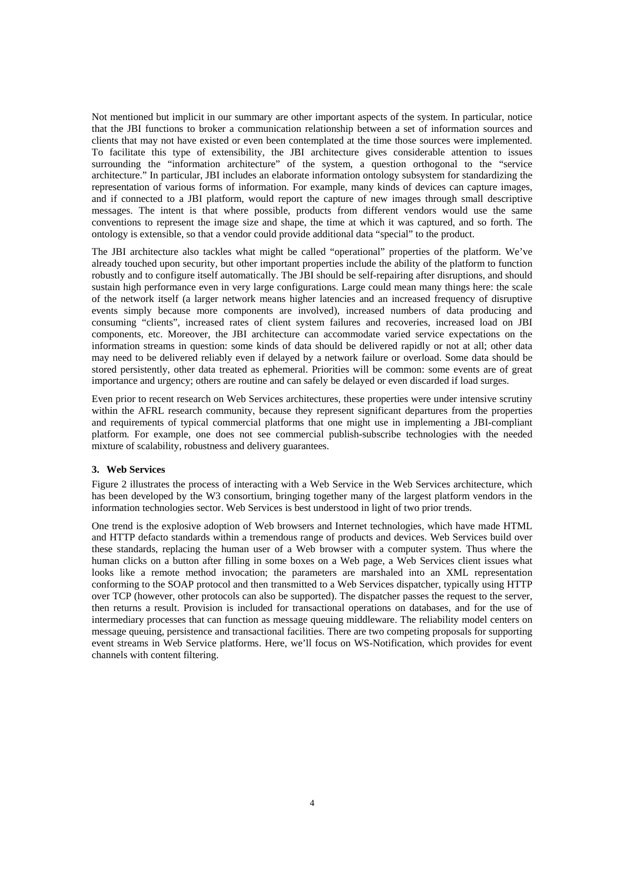Not mentioned but implicit in our summary are other important aspects of the system. In particular, notice that the JBI functions to broker a communication relationship between a set of information sources and clients that may not have existed or even been contemplated at the time those sources were implemented. To facilitate this type of extensibility, the JBI architecture gives considerable attention to issues surrounding the "information architecture" of the system, a question orthogonal to the "service architecture." In particular, JBI includes an elaborate information ontology subsystem for standardizing the representation of various forms of information. For example, many kinds of devices can capture images, and if connected to a JBI platform, would report the capture of new images through small descriptive messages. The intent is that where possible, products from different vendors would use the same conventions to represent the image size and shape, the time at which it was captured, and so forth. The ontology is extensible, so that a vendor could provide additional data "special" to the product.

The JBI architecture also tackles what might be called "operational" properties of the platform. We've already touched upon security, but other important properties include the ability of the platform to function robustly and to configure itself automatically. The JBI should be self-repairing after disruptions, and should sustain high performance even in very large configurations. Large could mean many things here: the scale of the network itself (a larger network means higher latencies and an increased frequency of disruptive events simply because more components are involved), increased numbers of data producing and consuming "clients", increased rates of client system failures and recoveries, increased load on JBI components, etc. Moreover, the JBI architecture can accommodate varied service expectations on the information streams in question: some kinds of data should be delivered rapidly or not at all; other data may need to be delivered reliably even if delayed by a network failure or overload. Some data should be stored persistently, other data treated as ephemeral. Priorities will be common: some events are of great importance and urgency; others are routine and can safely be delayed or even discarded if load surges.

Even prior to recent research on Web Services architectures, these properties were under intensive scrutiny within the AFRL research community, because they represent significant departures from the properties and requirements of typical commercial platforms that one might use in implementing a JBI-compliant platform. For example, one does not see commercial publish-subscribe technologies with the needed mixture of scalability, robustness and delivery guarantees.

#### **3. Web Services**

Figure 2 illustrates the process of interacting with a Web Service in the Web Services architecture, which has been developed by the W3 consortium, bringing together many of the largest platform vendors in the information technologies sector. Web Services is best understood in light of two prior trends.

One trend is the explosive adoption of Web browsers and Internet technologies, which have made HTML and HTTP defacto standards within a tremendous range of products and devices. Web Services build over these standards, replacing the human user of a Web browser with a computer system. Thus where the human clicks on a button after filling in some boxes on a Web page, a Web Services client issues what looks like a remote method invocation; the parameters are marshaled into an XML representation conforming to the SOAP protocol and then transmitted to a Web Services dispatcher, typically using HTTP over TCP (however, other protocols can also be supported). The dispatcher passes the request to the server, then returns a result. Provision is included for transactional operations on databases, and for the use of intermediary processes that can function as message queuing middleware. The reliability model centers on message queuing, persistence and transactional facilities. There are two competing proposals for supporting event streams in Web Service platforms. Here, we'll focus on WS-Notification, which provides for event channels with content filtering.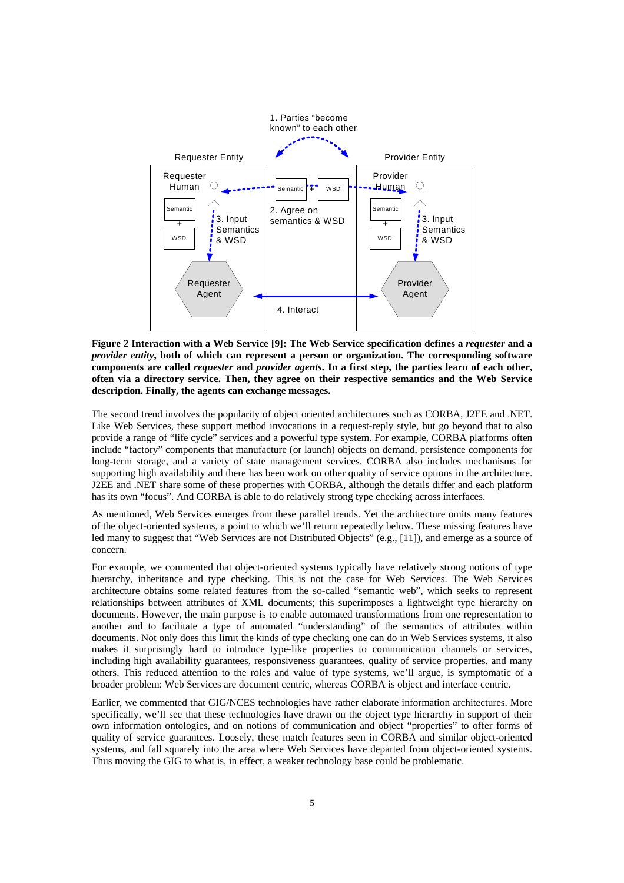

**Figure 2 Interaction with a Web Service [9]: The Web Service specification defines a** *requester* **and a**  *provider entity***, both of which can represent a person or organization. The corresponding software components are called** *requester* **and** *provider agents***. In a first step, the parties learn of each other, often via a directory service. Then, they agree on their respective semantics and the Web Service description. Finally, the agents can exchange messages.** 

The second trend involves the popularity of object oriented architectures such as CORBA, J2EE and .NET. Like Web Services, these support method invocations in a request-reply style, but go beyond that to also provide a range of "life cycle" services and a powerful type system. For example, CORBA platforms often include "factory" components that manufacture (or launch) objects on demand, persistence components for long-term storage, and a variety of state management services. CORBA also includes mechanisms for supporting high availability and there has been work on other quality of service options in the architecture. J2EE and .NET share some of these properties with CORBA, although the details differ and each platform has its own "focus". And CORBA is able to do relatively strong type checking across interfaces.

As mentioned, Web Services emerges from these parallel trends. Yet the architecture omits many features of the object-oriented systems, a point to which we'll return repeatedly below. These missing features have led many to suggest that "Web Services are not Distributed Objects" (e.g., [11]), and emerge as a source of concern.

For example, we commented that object-oriented systems typically have relatively strong notions of type hierarchy, inheritance and type checking. This is not the case for Web Services. The Web Services architecture obtains some related features from the so-called "semantic web", which seeks to represent relationships between attributes of XML documents; this superimposes a lightweight type hierarchy on documents. However, the main purpose is to enable automated transformations from one representation to another and to facilitate a type of automated "understanding" of the semantics of attributes within documents. Not only does this limit the kinds of type checking one can do in Web Services systems, it also makes it surprisingly hard to introduce type-like properties to communication channels or services, including high availability guarantees, responsiveness guarantees, quality of service properties, and many others. This reduced attention to the roles and value of type systems, we'll argue, is symptomatic of a broader problem: Web Services are document centric, whereas CORBA is object and interface centric.

Earlier, we commented that GIG/NCES technologies have rather elaborate information architectures. More specifically, we'll see that these technologies have drawn on the object type hierarchy in support of their own information ontologies, and on notions of communication and object "properties" to offer forms of quality of service guarantees. Loosely, these match features seen in CORBA and similar object-oriented systems, and fall squarely into the area where Web Services have departed from object-oriented systems. Thus moving the GIG to what is, in effect, a weaker technology base could be problematic.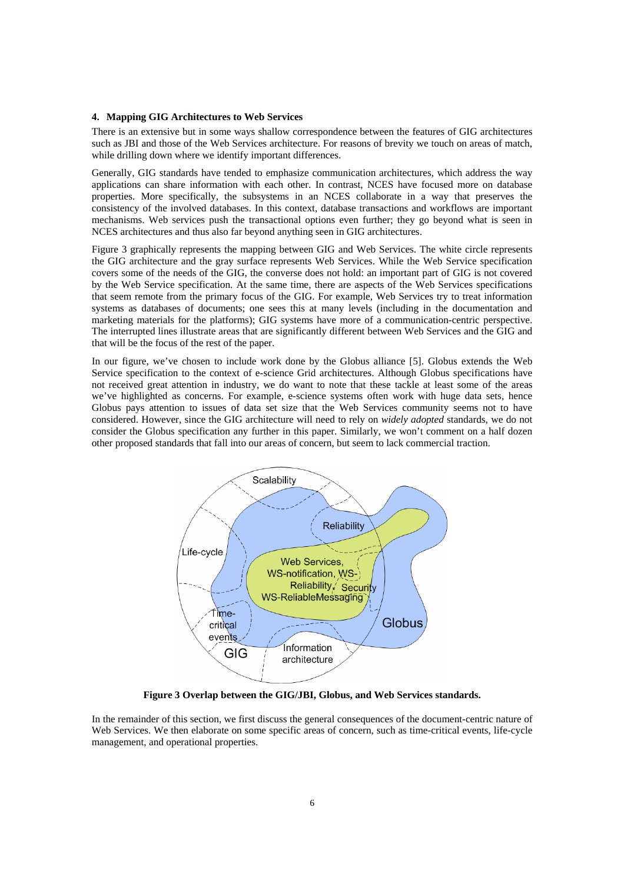#### **4. Mapping GIG Architectures to Web Services**

There is an extensive but in some ways shallow correspondence between the features of GIG architectures such as JBI and those of the Web Services architecture. For reasons of brevity we touch on areas of match, while drilling down where we identify important differences.

Generally, GIG standards have tended to emphasize communication architectures, which address the way applications can share information with each other. In contrast, NCES have focused more on database properties. More specifically, the subsystems in an NCES collaborate in a way that preserves the consistency of the involved databases. In this context, database transactions and workflows are important mechanisms. Web services push the transactional options even further; they go beyond what is seen in NCES architectures and thus also far beyond anything seen in GIG architectures.

Figure 3 graphically represents the mapping between GIG and Web Services. The white circle represents the GIG architecture and the gray surface represents Web Services. While the Web Service specification covers some of the needs of the GIG, the converse does not hold: an important part of GIG is not covered by the Web Service specification. At the same time, there are aspects of the Web Services specifications that seem remote from the primary focus of the GIG. For example, Web Services try to treat information systems as databases of documents; one sees this at many levels (including in the documentation and marketing materials for the platforms); GIG systems have more of a communication-centric perspective. The interrupted lines illustrate areas that are significantly different between Web Services and the GIG and that will be the focus of the rest of the paper.

In our figure, we've chosen to include work done by the Globus alliance [5]. Globus extends the Web Service specification to the context of e-science Grid architectures. Although Globus specifications have not received great attention in industry, we do want to note that these tackle at least some of the areas we've highlighted as concerns. For example, e-science systems often work with huge data sets, hence Globus pays attention to issues of data set size that the Web Services community seems not to have considered. However, since the GIG architecture will need to rely on *widely adopted* standards, we do not consider the Globus specification any further in this paper. Similarly, we won't comment on a half dozen other proposed standards that fall into our areas of concern, but seem to lack commercial traction.



**Figure 3 Overlap between the GIG/JBI, Globus, and Web Services standards.** 

In the remainder of this section, we first discuss the general consequences of the document-centric nature of Web Services. We then elaborate on some specific areas of concern, such as time-critical events, life-cycle management, and operational properties.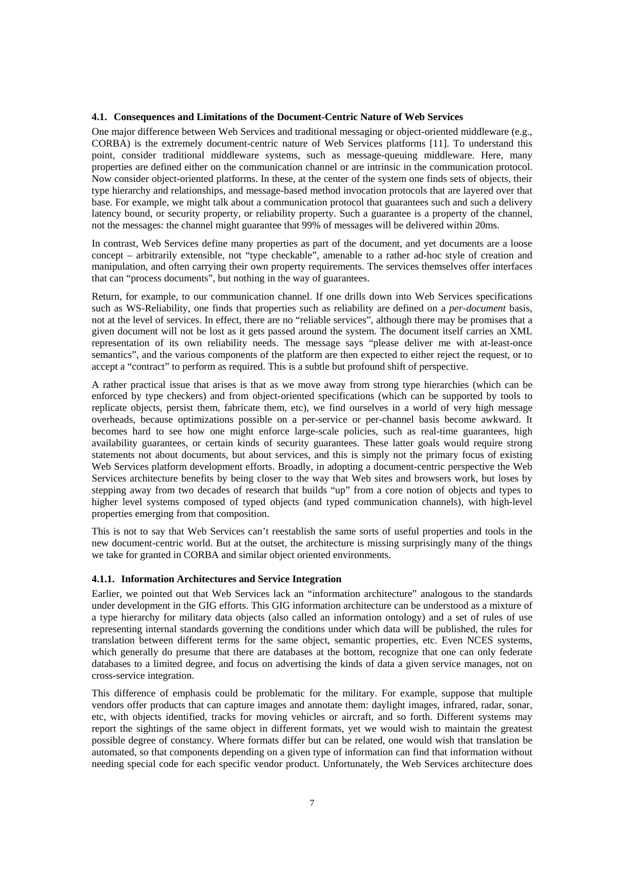#### **4.1. Consequences and Limitations of the Document-Centric Nature of Web Services**

One major difference between Web Services and traditional messaging or object-oriented middleware (e.g., CORBA) is the extremely document-centric nature of Web Services platforms [11]. To understand this point, consider traditional middleware systems, such as message-queuing middleware. Here, many properties are defined either on the communication channel or are intrinsic in the communication protocol. Now consider object-oriented platforms. In these, at the center of the system one finds sets of objects, their type hierarchy and relationships, and message-based method invocation protocols that are layered over that base. For example, we might talk about a communication protocol that guarantees such and such a delivery latency bound, or security property, or reliability property. Such a guarantee is a property of the channel, not the messages: the channel might guarantee that 99% of messages will be delivered within 20ms.

In contrast, Web Services define many properties as part of the document, and yet documents are a loose concept – arbitrarily extensible, not "type checkable", amenable to a rather ad-hoc style of creation and manipulation, and often carrying their own property requirements. The services themselves offer interfaces that can "process documents", but nothing in the way of guarantees.

Return, for example, to our communication channel. If one drills down into Web Services specifications such as WS-Reliability, one finds that properties such as reliability are defined on a *per-document* basis, not at the level of services. In effect, there are no "reliable services", although there may be promises that a given document will not be lost as it gets passed around the system. The document itself carries an XML representation of its own reliability needs. The message says "please deliver me with at-least-once semantics", and the various components of the platform are then expected to either reject the request, or to accept a "contract" to perform as required. This is a subtle but profound shift of perspective.

A rather practical issue that arises is that as we move away from strong type hierarchies (which can be enforced by type checkers) and from object-oriented specifications (which can be supported by tools to replicate objects, persist them, fabricate them, etc), we find ourselves in a world of very high message overheads, because optimizations possible on a per-service or per-channel basis become awkward. It becomes hard to see how one might enforce large-scale policies, such as real-time guarantees, high availability guarantees, or certain kinds of security guarantees. These latter goals would require strong statements not about documents, but about services, and this is simply not the primary focus of existing Web Services platform development efforts. Broadly, in adopting a document-centric perspective the Web Services architecture benefits by being closer to the way that Web sites and browsers work, but loses by stepping away from two decades of research that builds "up" from a core notion of objects and types to higher level systems composed of typed objects (and typed communication channels), with high-level properties emerging from that composition.

This is not to say that Web Services can't reestablish the same sorts of useful properties and tools in the new document-centric world. But at the outset, the architecture is missing surprisingly many of the things we take for granted in CORBA and similar object oriented environments.

#### **4.1.1. Information Architectures and Service Integration**

Earlier, we pointed out that Web Services lack an "information architecture" analogous to the standards under development in the GIG efforts. This GIG information architecture can be understood as a mixture of a type hierarchy for military data objects (also called an information ontology) and a set of rules of use representing internal standards governing the conditions under which data will be published, the rules for translation between different terms for the same object, semantic properties, etc. Even NCES systems, which generally do presume that there are databases at the bottom, recognize that one can only federate databases to a limited degree, and focus on advertising the kinds of data a given service manages, not on cross-service integration.

This difference of emphasis could be problematic for the military. For example, suppose that multiple vendors offer products that can capture images and annotate them: daylight images, infrared, radar, sonar, etc, with objects identified, tracks for moving vehicles or aircraft, and so forth. Different systems may report the sightings of the same object in different formats, yet we would wish to maintain the greatest possible degree of constancy. Where formats differ but can be related, one would wish that translation be automated, so that components depending on a given type of information can find that information without needing special code for each specific vendor product. Unfortunately, the Web Services architecture does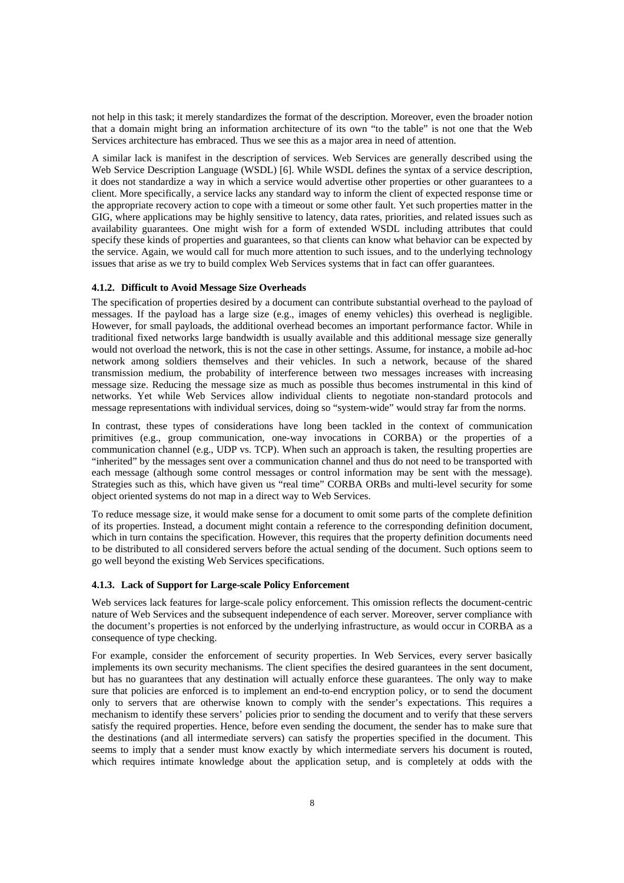not help in this task; it merely standardizes the format of the description. Moreover, even the broader notion that a domain might bring an information architecture of its own "to the table" is not one that the Web Services architecture has embraced. Thus we see this as a major area in need of attention.

A similar lack is manifest in the description of services. Web Services are generally described using the Web Service Description Language (WSDL) [6]. While WSDL defines the syntax of a service description, it does not standardize a way in which a service would advertise other properties or other guarantees to a client. More specifically, a service lacks any standard way to inform the client of expected response time or the appropriate recovery action to cope with a timeout or some other fault. Yet such properties matter in the GIG, where applications may be highly sensitive to latency, data rates, priorities, and related issues such as availability guarantees. One might wish for a form of extended WSDL including attributes that could specify these kinds of properties and guarantees, so that clients can know what behavior can be expected by the service. Again, we would call for much more attention to such issues, and to the underlying technology issues that arise as we try to build complex Web Services systems that in fact can offer guarantees.

#### **4.1.2. Difficult to Avoid Message Size Overheads**

The specification of properties desired by a document can contribute substantial overhead to the payload of messages. If the payload has a large size (e.g., images of enemy vehicles) this overhead is negligible. However, for small payloads, the additional overhead becomes an important performance factor. While in traditional fixed networks large bandwidth is usually available and this additional message size generally would not overload the network, this is not the case in other settings. Assume, for instance, a mobile ad-hoc network among soldiers themselves and their vehicles. In such a network, because of the shared transmission medium, the probability of interference between two messages increases with increasing message size. Reducing the message size as much as possible thus becomes instrumental in this kind of networks. Yet while Web Services allow individual clients to negotiate non-standard protocols and message representations with individual services, doing so "system-wide" would stray far from the norms.

In contrast, these types of considerations have long been tackled in the context of communication primitives (e.g., group communication, one-way invocations in CORBA) or the properties of a communication channel (e.g., UDP vs. TCP). When such an approach is taken, the resulting properties are "inherited" by the messages sent over a communication channel and thus do not need to be transported with each message (although some control messages or control information may be sent with the message). Strategies such as this, which have given us "real time" CORBA ORBs and multi-level security for some object oriented systems do not map in a direct way to Web Services.

To reduce message size, it would make sense for a document to omit some parts of the complete definition of its properties. Instead, a document might contain a reference to the corresponding definition document, which in turn contains the specification. However, this requires that the property definition documents need to be distributed to all considered servers before the actual sending of the document. Such options seem to go well beyond the existing Web Services specifications.

# **4.1.3. Lack of Support for Large-scale Policy Enforcement**

Web services lack features for large-scale policy enforcement. This omission reflects the document-centric nature of Web Services and the subsequent independence of each server. Moreover, server compliance with the document's properties is not enforced by the underlying infrastructure, as would occur in CORBA as a consequence of type checking.

For example, consider the enforcement of security properties. In Web Services, every server basically implements its own security mechanisms. The client specifies the desired guarantees in the sent document, but has no guarantees that any destination will actually enforce these guarantees. The only way to make sure that policies are enforced is to implement an end-to-end encryption policy, or to send the document only to servers that are otherwise known to comply with the sender's expectations. This requires a mechanism to identify these servers' policies prior to sending the document and to verify that these servers satisfy the required properties. Hence, before even sending the document, the sender has to make sure that the destinations (and all intermediate servers) can satisfy the properties specified in the document. This seems to imply that a sender must know exactly by which intermediate servers his document is routed, which requires intimate knowledge about the application setup, and is completely at odds with the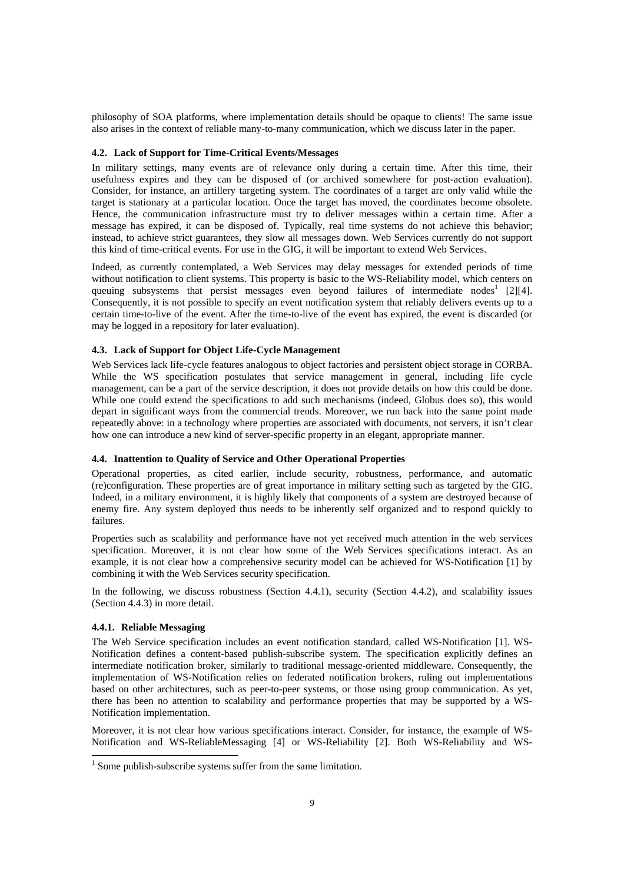philosophy of SOA platforms, where implementation details should be opaque to clients! The same issue also arises in the context of reliable many-to-many communication, which we discuss later in the paper.

#### **4.2. Lack of Support for Time-Critical Events/Messages**

In military settings, many events are of relevance only during a certain time. After this time, their usefulness expires and they can be disposed of (or archived somewhere for post-action evaluation). Consider, for instance, an artillery targeting system. The coordinates of a target are only valid while the target is stationary at a particular location. Once the target has moved, the coordinates become obsolete. Hence, the communication infrastructure must try to deliver messages within a certain time. After a message has expired, it can be disposed of. Typically, real time systems do not achieve this behavior; instead, to achieve strict guarantees, they slow all messages down. Web Services currently do not support this kind of time-critical events. For use in the GIG, it will be important to extend Web Services.

Indeed, as currently contemplated, a Web Services may delay messages for extended periods of time without notification to client systems. This property is basic to the WS-Reliability model, which centers on queuing subsystems that persist messages even beyond failures of intermediate nodes<sup>1</sup> [2][4]. Consequently, it is not possible to specify an event notification system that reliably delivers events up to a certain time-to-live of the event. After the time-to-live of the event has expired, the event is discarded (or may be logged in a repository for later evaluation).

# **4.3. Lack of Support for Object Life-Cycle Management**

Web Services lack life-cycle features analogous to object factories and persistent object storage in CORBA. While the WS specification postulates that service management in general, including life cycle management, can be a part of the service description, it does not provide details on how this could be done. While one could extend the specifications to add such mechanisms (indeed, Globus does so), this would depart in significant ways from the commercial trends. Moreover, we run back into the same point made repeatedly above: in a technology where properties are associated with documents, not servers, it isn't clear how one can introduce a new kind of server-specific property in an elegant, appropriate manner.

#### **4.4. Inattention to Quality of Service and Other Operational Properties**

Operational properties, as cited earlier, include security, robustness, performance, and automatic (re)configuration. These properties are of great importance in military setting such as targeted by the GIG. Indeed, in a military environment, it is highly likely that components of a system are destroyed because of enemy fire. Any system deployed thus needs to be inherently self organized and to respond quickly to failures.

Properties such as scalability and performance have not yet received much attention in the web services specification. Moreover, it is not clear how some of the Web Services specifications interact. As an example, it is not clear how a comprehensive security model can be achieved for WS-Notification [1] by combining it with the Web Services security specification.

In the following, we discuss robustness (Section 4.4.1), security (Section 4.4.2), and scalability issues (Section 4.4.3) in more detail.

# **4.4.1. Reliable Messaging**

 $\overline{a}$ 

The Web Service specification includes an event notification standard, called WS-Notification [1]. WS-Notification defines a content-based publish-subscribe system. The specification explicitly defines an intermediate notification broker, similarly to traditional message-oriented middleware. Consequently, the implementation of WS-Notification relies on federated notification brokers, ruling out implementations based on other architectures, such as peer-to-peer systems, or those using group communication. As yet, there has been no attention to scalability and performance properties that may be supported by a WS-Notification implementation.

Moreover, it is not clear how various specifications interact. Consider, for instance, the example of WS-Notification and WS-ReliableMessaging [4] or WS-Reliability [2]. Both WS-Reliability and WS-

<sup>&</sup>lt;sup>1</sup> Some publish-subscribe systems suffer from the same limitation.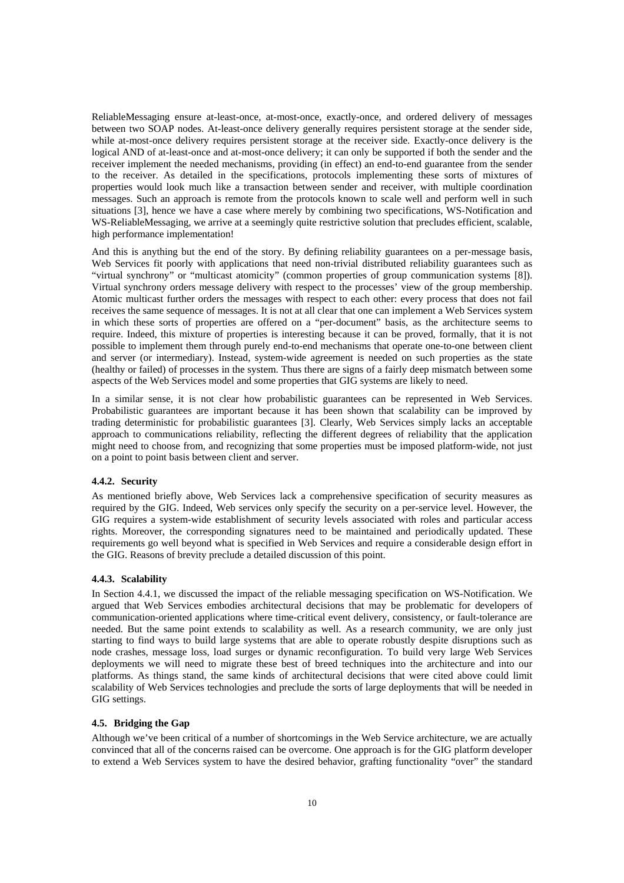ReliableMessaging ensure at-least-once, at-most-once, exactly-once, and ordered delivery of messages between two SOAP nodes. At-least-once delivery generally requires persistent storage at the sender side, while at-most-once delivery requires persistent storage at the receiver side. Exactly-once delivery is the logical AND of at-least-once and at-most-once delivery; it can only be supported if both the sender and the receiver implement the needed mechanisms, providing (in effect) an end-to-end guarantee from the sender to the receiver. As detailed in the specifications, protocols implementing these sorts of mixtures of properties would look much like a transaction between sender and receiver, with multiple coordination messages. Such an approach is remote from the protocols known to scale well and perform well in such situations [3], hence we have a case where merely by combining two specifications, WS-Notification and WS-ReliableMessaging, we arrive at a seemingly quite restrictive solution that precludes efficient, scalable, high performance implementation!

And this is anything but the end of the story. By defining reliability guarantees on a per-message basis, Web Services fit poorly with applications that need non-trivial distributed reliability guarantees such as "virtual synchrony" or "multicast atomicity" (common properties of group communication systems [8]). Virtual synchrony orders message delivery with respect to the processes' view of the group membership. Atomic multicast further orders the messages with respect to each other: every process that does not fail receives the same sequence of messages. It is not at all clear that one can implement a Web Services system in which these sorts of properties are offered on a "per-document" basis, as the architecture seems to require. Indeed, this mixture of properties is interesting because it can be proved, formally, that it is not possible to implement them through purely end-to-end mechanisms that operate one-to-one between client and server (or intermediary). Instead, system-wide agreement is needed on such properties as the state (healthy or failed) of processes in the system. Thus there are signs of a fairly deep mismatch between some aspects of the Web Services model and some properties that GIG systems are likely to need.

In a similar sense, it is not clear how probabilistic guarantees can be represented in Web Services. Probabilistic guarantees are important because it has been shown that scalability can be improved by trading deterministic for probabilistic guarantees [3]. Clearly, Web Services simply lacks an acceptable approach to communications reliability, reflecting the different degrees of reliability that the application might need to choose from, and recognizing that some properties must be imposed platform-wide, not just on a point to point basis between client and server.

#### **4.4.2. Security**

As mentioned briefly above, Web Services lack a comprehensive specification of security measures as required by the GIG. Indeed, Web services only specify the security on a per-service level. However, the GIG requires a system-wide establishment of security levels associated with roles and particular access rights. Moreover, the corresponding signatures need to be maintained and periodically updated. These requirements go well beyond what is specified in Web Services and require a considerable design effort in the GIG. Reasons of brevity preclude a detailed discussion of this point.

#### **4.4.3. Scalability**

In Section 4.4.1, we discussed the impact of the reliable messaging specification on WS-Notification. We argued that Web Services embodies architectural decisions that may be problematic for developers of communication-oriented applications where time-critical event delivery, consistency, or fault-tolerance are needed. But the same point extends to scalability as well. As a research community, we are only just starting to find ways to build large systems that are able to operate robustly despite disruptions such as node crashes, message loss, load surges or dynamic reconfiguration. To build very large Web Services deployments we will need to migrate these best of breed techniques into the architecture and into our platforms. As things stand, the same kinds of architectural decisions that were cited above could limit scalability of Web Services technologies and preclude the sorts of large deployments that will be needed in GIG settings.

#### **4.5. Bridging the Gap**

Although we've been critical of a number of shortcomings in the Web Service architecture, we are actually convinced that all of the concerns raised can be overcome. One approach is for the GIG platform developer to extend a Web Services system to have the desired behavior, grafting functionality "over" the standard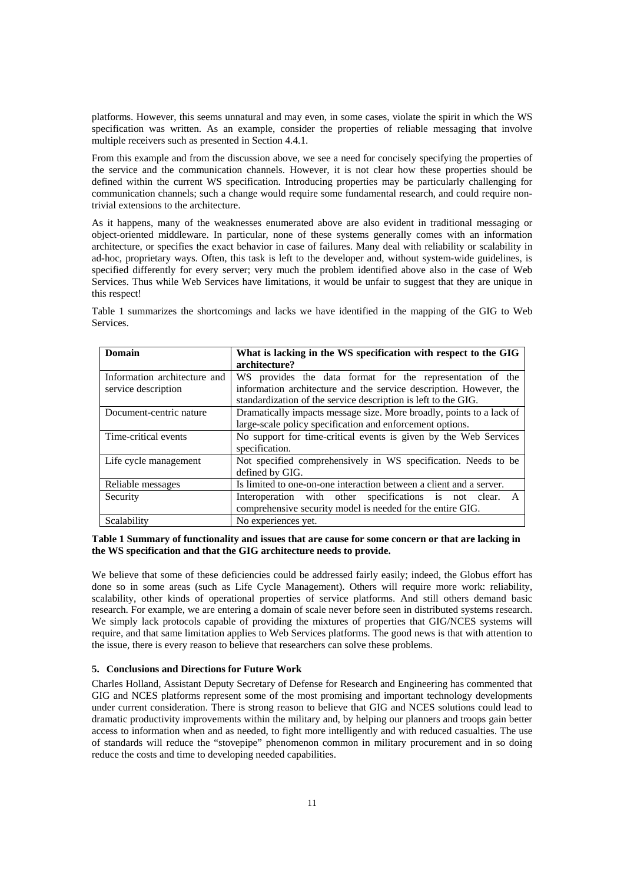platforms. However, this seems unnatural and may even, in some cases, violate the spirit in which the WS specification was written. As an example, consider the properties of reliable messaging that involve multiple receivers such as presented in Section 4.4.1.

From this example and from the discussion above, we see a need for concisely specifying the properties of the service and the communication channels. However, it is not clear how these properties should be defined within the current WS specification. Introducing properties may be particularly challenging for communication channels; such a change would require some fundamental research, and could require nontrivial extensions to the architecture.

As it happens, many of the weaknesses enumerated above are also evident in traditional messaging or object-oriented middleware. In particular, none of these systems generally comes with an information architecture, or specifies the exact behavior in case of failures. Many deal with reliability or scalability in ad-hoc, proprietary ways. Often, this task is left to the developer and, without system-wide guidelines, is specified differently for every server; very much the problem identified above also in the case of Web Services. Thus while Web Services have limitations, it would be unfair to suggest that they are unique in this respect!

Table 1 summarizes the shortcomings and lacks we have identified in the mapping of the GIG to Web **Services** 

| Domain                       | What is lacking in the WS specification with respect to the GIG<br>architecture? |
|------------------------------|----------------------------------------------------------------------------------|
| Information architecture and | WS provides the data format for the representation of the                        |
| service description          | information architecture and the service description. However, the               |
|                              | standardization of the service description is left to the GIG.                   |
| Document-centric nature      | Dramatically impacts message size. More broadly, points to a lack of             |
|                              | large-scale policy specification and enforcement options.                        |
| Time-critical events         | No support for time-critical events is given by the Web Services                 |
|                              | specification.                                                                   |
| Life cycle management        | Not specified comprehensively in WS specification. Needs to be                   |
|                              | defined by GIG.                                                                  |
| Reliable messages            | Is limited to one-on-one interaction between a client and a server.              |
| Security                     | Interoperation with other specifications is not clear.                           |
|                              | comprehensive security model is needed for the entire GIG.                       |
| Scalability                  | No experiences yet.                                                              |

# **Table 1 Summary of functionality and issues that are cause for some concern or that are lacking in the WS specification and that the GIG architecture needs to provide.**

We believe that some of these deficiencies could be addressed fairly easily; indeed, the Globus effort has done so in some areas (such as Life Cycle Management). Others will require more work: reliability, scalability, other kinds of operational properties of service platforms. And still others demand basic research. For example, we are entering a domain of scale never before seen in distributed systems research. We simply lack protocols capable of providing the mixtures of properties that GIG/NCES systems will require, and that same limitation applies to Web Services platforms. The good news is that with attention to the issue, there is every reason to believe that researchers can solve these problems.

# **5. Conclusions and Directions for Future Work**

Charles Holland, Assistant Deputy Secretary of Defense for Research and Engineering has commented that GIG and NCES platforms represent some of the most promising and important technology developments under current consideration. There is strong reason to believe that GIG and NCES solutions could lead to dramatic productivity improvements within the military and, by helping our planners and troops gain better access to information when and as needed, to fight more intelligently and with reduced casualties. The use of standards will reduce the "stovepipe" phenomenon common in military procurement and in so doing reduce the costs and time to developing needed capabilities.